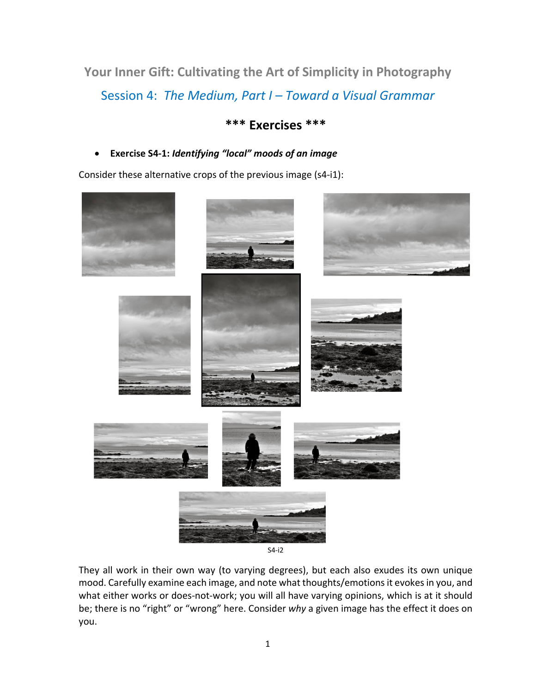**Your Inner Gift: Cultivating the Art of Simplicity in Photography** Session 4: *The Medium, Part I – Toward a Visual Grammar*

# **\*\*\* Exercises \*\*\***

## • **Exercise S4-1:** *Identifying "local" moods of an image*

Consider these alternative crops of the previous image (s4-i1):



They all work in their own way (to varying degrees), but each also exudes its own unique mood. Carefully examine each image, and note what thoughts/emotions it evokes in you, and what either works or does-not-work; you will all have varying opinions, which is at it should be; there is no "right" or "wrong" here. Consider *why* a given image has the effect it does on

you.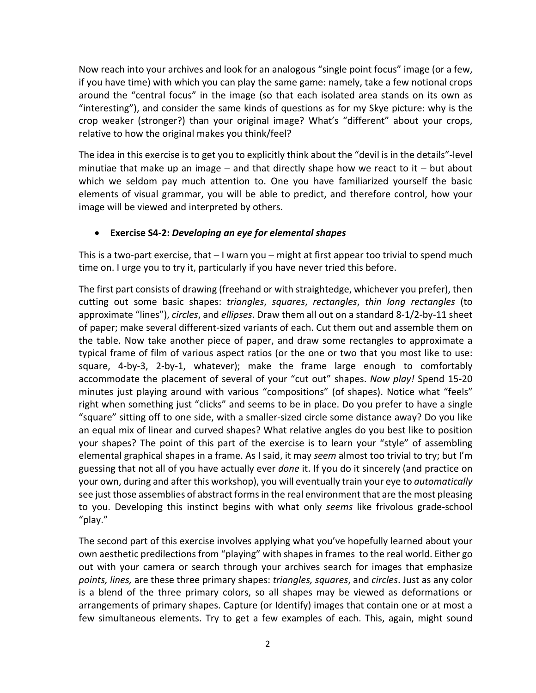Now reach into your archives and look for an analogous "single point focus" image (or a few, if you have time) with which you can play the same game: namely, take a few notional crops around the "central focus" in the image (so that each isolated area stands on its own as "interesting"), and consider the same kinds of questions as for my Skye picture: why is the crop weaker (stronger?) than your original image? What's "different" about your crops, relative to how the original makes you think/feel?

The idea in this exercise is to get you to explicitly think about the "devil is in the details"-level minutiae that make up an image – and that directly shape how we react to it – but about which we seldom pay much attention to. One you have familiarized yourself the basic elements of visual grammar, you will be able to predict, and therefore control, how your image will be viewed and interpreted by others.

### • **Exercise S4-2:** *Developing an eye for elemental shapes*

This is a two-part exercise, that − I warn you − might at first appear too trivial to spend much time on. I urge you to try it, particularly if you have never tried this before.

The first part consists of drawing (freehand or with straightedge, whichever you prefer), then cutting out some basic shapes: *triangles*, *squares*, *rectangles*, *thin long rectangles* (to approximate "lines"), *circles*, and *ellipses*. Draw them all out on a standard 8-1/2-by-11 sheet of paper; make several different-sized variants of each. Cut them out and assemble them on the table. Now take another piece of paper, and draw some rectangles to approximate a typical frame of film of various aspect ratios (or the one or two that you most like to use: square, 4-by-3, 2-by-1, whatever); make the frame large enough to comfortably accommodate the placement of several of your "cut out" shapes. *Now play!* Spend 15-20 minutes just playing around with various "compositions" (of shapes). Notice what "feels" right when something just "clicks" and seems to be in place. Do you prefer to have a single "square" sitting off to one side, with a smaller-sized circle some distance away? Do you like an equal mix of linear and curved shapes? What relative angles do you best like to position your shapes? The point of this part of the exercise is to learn your "style" of assembling elemental graphical shapes in a frame. As I said, it may *seem* almost too trivial to try; but I'm guessing that not all of you have actually ever *done* it. If you do it sincerely (and practice on your own, during and after this workshop), you will eventually train your eye to *automatically* see just those assemblies of abstract forms in the real environment that are the most pleasing to you. Developing this instinct begins with what only *seems* like frivolous grade-school "play."

The second part of this exercise involves applying what you've hopefully learned about your own aesthetic predilections from "playing" with shapes in frames to the real world. Either go out with your camera or search through your archives search for images that emphasize *points, lines,* are these three primary shapes: *triangles, squares*, and *circles*. Just as any color is a blend of the three primary colors, so all shapes may be viewed as deformations or arrangements of primary shapes. Capture (or Identify) images that contain one or at most a few simultaneous elements. Try to get a few examples of each. This, again, might sound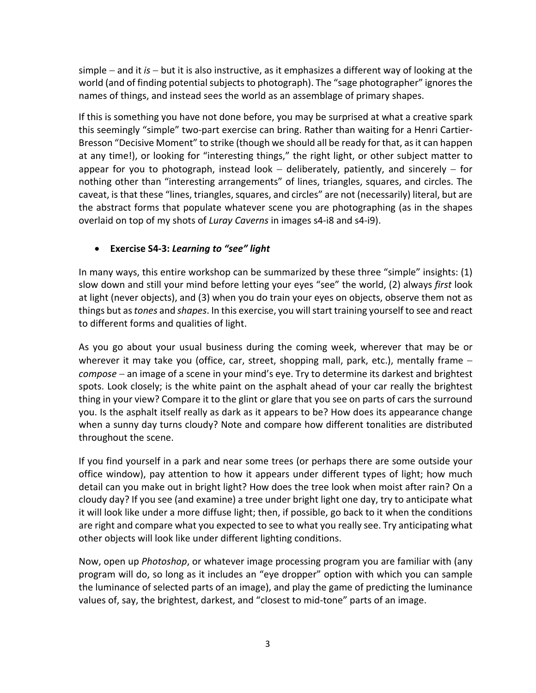simple − and it *is* − but it is also instructive, as it emphasizes a different way of looking at the world (and of finding potential subjects to photograph). The "sage photographer" ignores the names of things, and instead sees the world as an assemblage of primary shapes.

If this is something you have not done before, you may be surprised at what a creative spark this seemingly "simple" two-part exercise can bring. Rather than waiting for a Henri Cartier-Bresson "Decisive Moment" to strike (though we should all be ready for that, as it can happen at any time!), or looking for "interesting things," the right light, or other subject matter to appear for you to photograph, instead look – deliberately, patiently, and sincerely – for nothing other than "interesting arrangements" of lines, triangles, squares, and circles. The caveat, is that these "lines, triangles, squares, and circles" are not (necessarily) literal, but are the abstract forms that populate whatever scene you are photographing (as in the shapes overlaid on top of my shots of *Luray Caverns* in images s4-i8 and s4-i9).

### • **Exercise S4-3:** *Learning to "see" light*

In many ways, this entire workshop can be summarized by these three "simple" insights: (1) slow down and still your mind before letting your eyes "see" the world, (2) always *first* look at light (never objects), and (3) when you do train your eyes on objects, observe them not as things but as *tones* and *shapes*. In this exercise, you will start training yourself to see and react to different forms and qualities of light.

As you go about your usual business during the coming week, wherever that may be or wherever it may take you (office, car, street, shopping mall, park, etc.), mentally frame − *compose* − an image of a scene in your mind's eye. Try to determine its darkest and brightest spots. Look closely; is the white paint on the asphalt ahead of your car really the brightest thing in your view? Compare it to the glint or glare that you see on parts of cars the surround you. Is the asphalt itself really as dark as it appears to be? How does its appearance change when a sunny day turns cloudy? Note and compare how different tonalities are distributed throughout the scene.

If you find yourself in a park and near some trees (or perhaps there are some outside your office window), pay attention to how it appears under different types of light; how much detail can you make out in bright light? How does the tree look when moist after rain? On a cloudy day? If you see (and examine) a tree under bright light one day, try to anticipate what it will look like under a more diffuse light; then, if possible, go back to it when the conditions are right and compare what you expected to see to what you really see. Try anticipating what other objects will look like under different lighting conditions.

Now, open up *Photoshop*, or whatever image processing program you are familiar with (any program will do, so long as it includes an "eye dropper" option with which you can sample the luminance of selected parts of an image), and play the game of predicting the luminance values of, say, the brightest, darkest, and "closest to mid-tone" parts of an image.